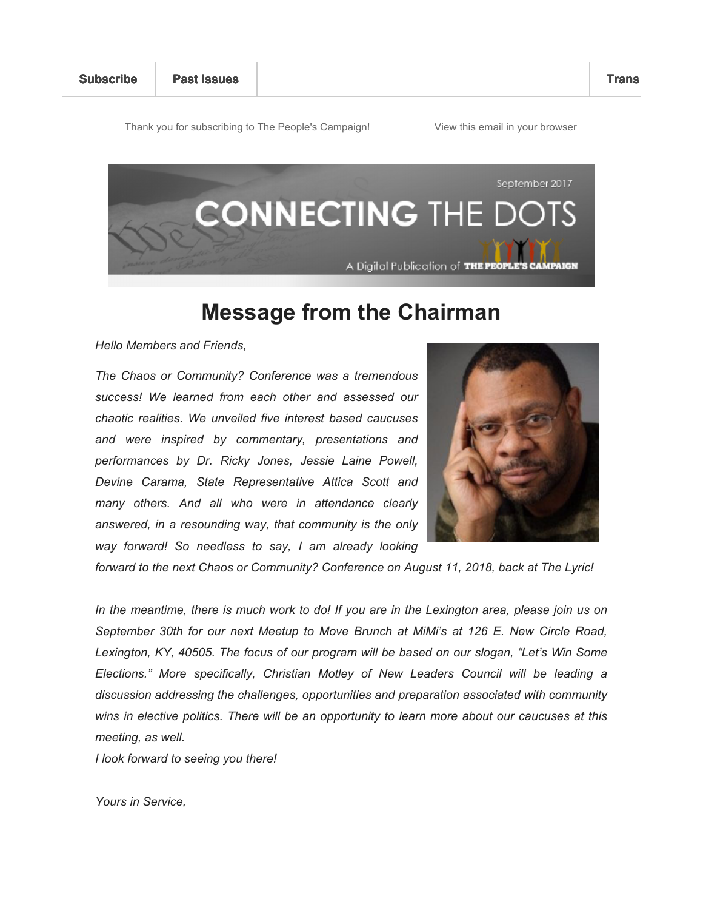Thank you for subscribing to The People's Campaign! View this email in your browser



## **Message from the Chairman**

*Hello Members and Friends,*

*The Chaos or Community? Conference was a tremendous success! We learned from each other and assessed our chaotic realities. We unveiled five interest based caucuses and were inspired by commentary, presentations and performances by Dr. Ricky Jones, Jessie Laine Powell, Devine Carama, State Representative Attica Scott and many others. And all who were in attendance clearly answered, in a resounding way, that community is the only way forward! So needless to say, I am already looking* 



*forward to the next Chaos or Community? Conference on August 11, 2018, back at The Lyric!*

*In the meantime, there is much work to do! If you are in the Lexington area, please join us on September 30th for our next Meetup to Move Brunch at MiMi's at 126 E. New Circle Road, Lexington, KY, 40505. The focus of our program will be based on our slogan, "Let's Win Some Elections." More specifically, Christian Motley of New Leaders Council will be leading a discussion addressing the challenges, opportunities and preparation associated with community wins in elective politics. There will be an opportunity to learn more about our caucuses at this meeting, as well.*

*I look forward to seeing you there!*

*Yours in Service,*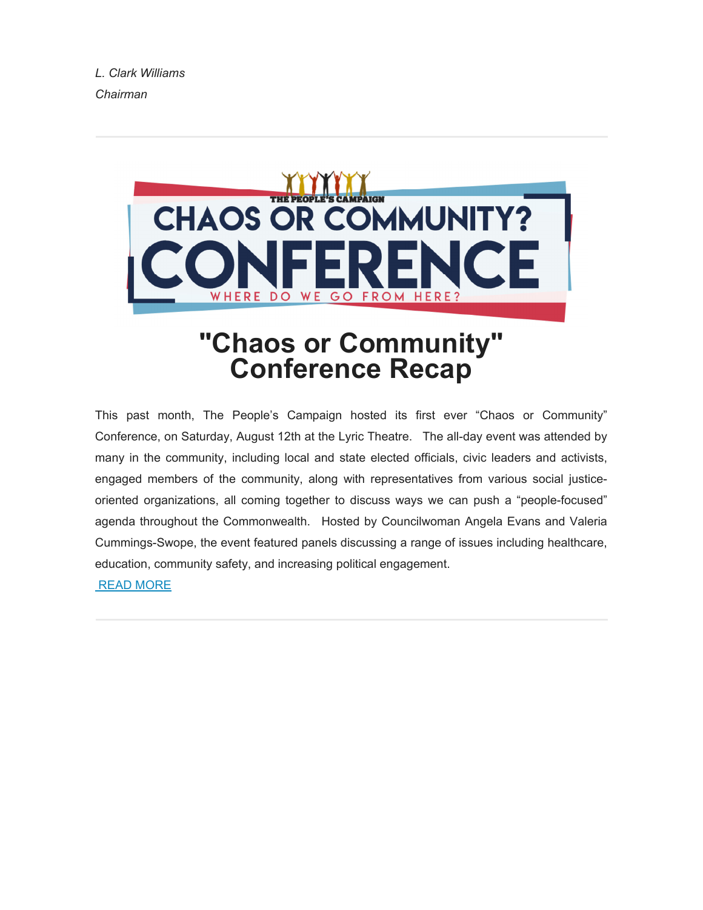*L. Clark Williams Chairman*



# **"Chaos or Community" Conference Recap**

This past month, The People's Campaign hosted its first ever "Chaos or Community" Conference, on Saturday, August 12th at the Lyric Theatre. The all-day event was attended by many in the community, including local and state elected officials, civic leaders and activists, engaged members of the community, along with representatives from various social justiceoriented organizations, all coming together to discuss ways we can push a "people-focused" agenda throughout the Commonwealth. Hosted by Councilwoman Angela Evans and Valeria Cummings-Swope, the event featured panels discussing a range of issues including healthcare, education, community safety, and increasing political engagement. READ MORE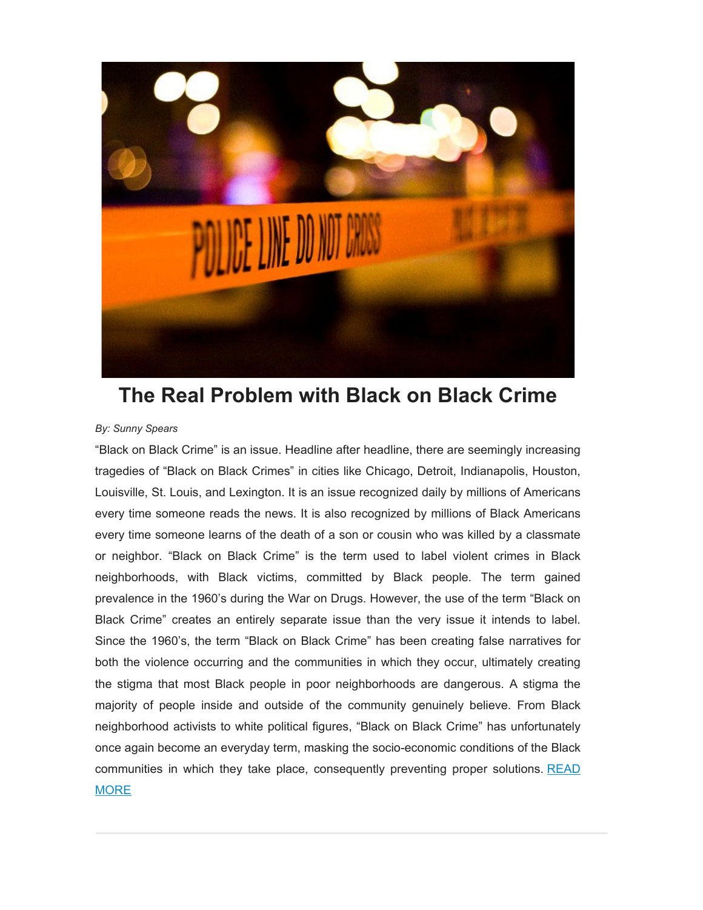

## **The Real Problem with Black on Black Crime**

#### *By: Sunny Spears*

"Black on Black Crime" is an issue. Headline after headline, there are seemingly increasing tragedies of "Black on Black Crimes" in cities like Chicago, Detroit, Indianapolis, Houston, Louisville, St. Louis, and Lexington. It is an issue recognized daily by millions of Americans every time someone reads the news. It is also recognized by millions of Black Americans every time someone learns of the death of a son or cousin who was killed by a classmate or neighbor. "Black on Black Crime" is the term used to label violent crimes in Black neighborhoods, with Black victims, committed by Black people. The term gained prevalence in the 1960's during the War on Drugs. However, the use of the term "Black on Black Crime" creates an entirely separate issue than the very issue it intends to label. Since the 1960's, the term "Black on Black Crime" has been creating false narratives for both the violence occurring and the communities in which they occur, ultimately creating the stigma that most Black people in poor neighborhoods are dangerous. A stigma the majority of people inside and outside of the community genuinely believe. From Black neighborhood activists to white political figures, "Black on Black Crime" has unfortunately once again become an everyday term, masking the socio-economic conditions of the Black communities in which they take place, consequently preventing proper solutions. READ **MORE**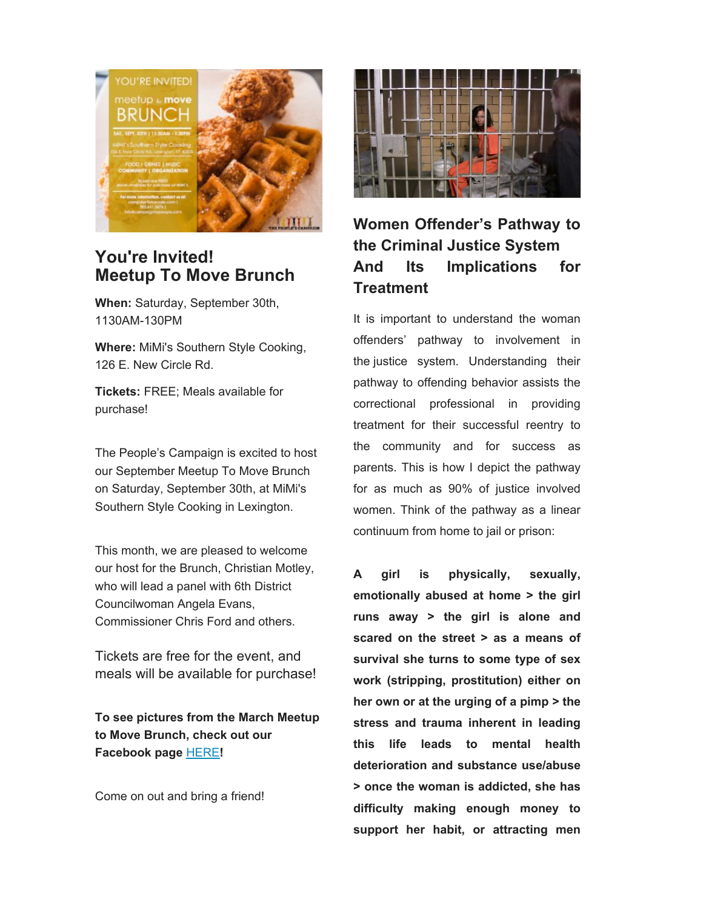

## **You're Invited! Meetup To Move Brunch**

**When:** Saturday, September 30th, 1130AM-130PM

**Where:** MiMi's Southern Style Cooking, 126 E. New Circle Rd.

**Tickets:** FREE; Meals available for purchase!

The People's Campaign is excited to host our September Meetup To Move Brunch on Saturday, September 30th, at MiMi's Southern Style Cooking in Lexington.

This month, we are pleased to welcome our host for the Brunch, Christian Motley, who will lead a panel with 6th District Councilwoman Angela Evans, Commissioner Chris Ford and others.

Tickets are free for the event, and meals will be available for purchase!

**To see pictures from the March Meetup to Move Brunch, check out our Facebook page** HERE**!**

Come on out and bring a friend!



## **Women Offender's Pathway to the Criminal Justice System And Its Implications for Treatment**

It is important to understand the woman offenders' pathway to involvement in the justice system. Understanding their pathway to offending behavior assists the correctional professional in providing treatment for their successful reentry to the community and for success as parents. This is how I depict the pathway for as much as 90% of justice involved women. Think of the pathway as a linear continuum from home to jail or prison:

**A girl is physically, sexually, emotionally abused at home > the girl runs away > the girl is alone and scared on the street > as a means of survival she turns to some type of sex work (stripping, prostitution) either on her own or at the urging of a pimp > the stress and trauma inherent in leading this life leads to mental health deterioration and substance use/abuse > once the woman is addicted, she has difficulty making enough money to support her habit, or attracting men**